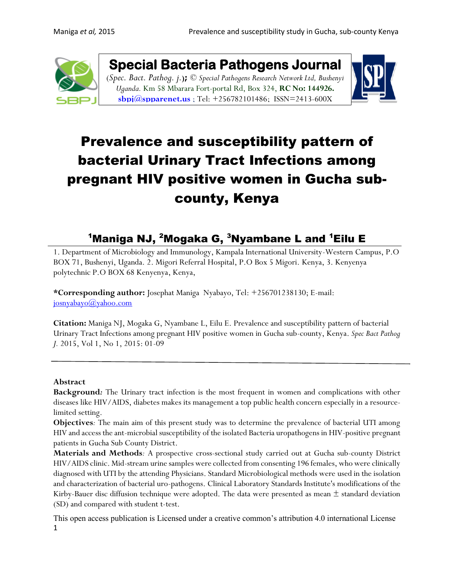

**Special Bacteria Pathogens Journal**  (*Spec. Bact. Pathog. j.***);** *© Special Pathogens Research Network Ltd, Bushenyi* 

*Uganda.* Km 58 Mbarara Fort-portal Rd, Box 324, **RC No: 144926. [sbpj@spparenet.us](mailto:sbpj@spparenet.us)** ; Tel: +256782101486[; ISSN=2413-600X](https://www.google.com/url?sa=t&rct=j&q=&esrc=s&source=web&cd=1&cad=rja&uact=8&ved=0ahUKEwiFp5Ggge_XAhWpAsAKHapIARsQFggqMAA&url=http%3A%2F%2Fwww.spparenet.us%2FSBPJ%2Fscope%2F&usg=AOvVaw3D79hMirI6WLP01DNutMuL)



# Prevalence and susceptibility pattern of bacterial Urinary Tract Infections among pregnant HIV positive women in Gucha subcounty, Kenya

# <sup>1</sup>Maniga NJ, <sup>2</sup>Mogaka G, <sup>3</sup>Nyambane L and <sup>1</sup>Eilu E

1. Department of Microbiology and Immunology, Kampala International University-Western Campus, P.O BOX 71, Bushenyi, Uganda. 2. Migori Referral Hospital, P.O Box 5 Migori. Kenya, 3. Kenyenya polytechnic P.O BOX 68 Kenyenya, Kenya,

**\*Corresponding author:** Josephat Maniga Nyabayo, Tel: +256701238130; E-mail: [josnyabayo@yahoo.com](mailto:josnyabayo@yahoo.com)

**Citation:** Maniga NJ, Mogaka G, Nyambane L, Eilu E. Prevalence and susceptibility pattern of bacterial Urinary Tract Infections among pregnant HIV positive women in Gucha sub-county, Kenya. *Spec Bact Pathog J.* 2015, Vol 1, No 1, 2015: 01-09

### **Abstract**

**Background***:* The Urinary tract infection is the most frequent in women and complications with other diseases like HIV/AIDS, diabetes makes its management a top public health concern especially in a resourcelimited setting.

**Objectives***:* The main aim of this present study was to determine the prevalence of bacterial UTI among HIV and access the ant-microbial susceptibility of the isolated Bacteria uropathogens in HIV-positive pregnant patients in Gucha Sub County District.

**Materials and Methods***:* A prospective cross-sectional study carried out at Gucha sub-county District HIV/AIDS clinic. Mid-stream urine samples were collected from consenting 196 females, who were clinically diagnosed with UTI by the attending Physicians. Standard Microbiological methods were used in the isolation and characterization of bacterial uro-pathogens. Clinical Laboratory Standards Institute's modifications of the Kirby-Bauer disc diffusion technique were adopted. The data were presented as mean  $\pm$  standard deviation (SD) and compared with student t-test.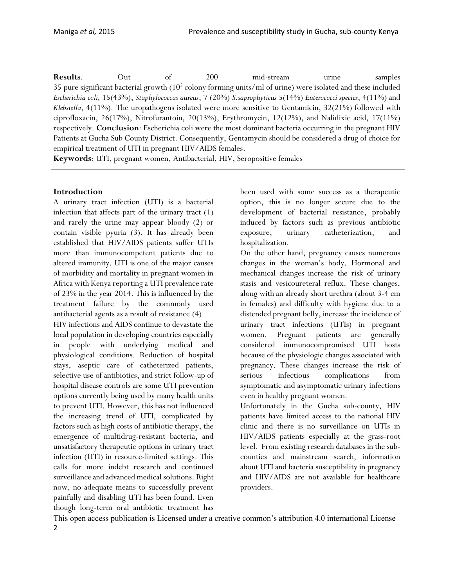**Results***:* Out of 200 mid-stream urine samples 35 pure significant bacterial growth (10<sup>5</sup> colony forming units/ml of urine) were isolated and these included *Escherichia coli,* 15(43%), *Staphylococcus aureus*, 7 (20%) *S.saprophyticus* 5(14%) *Enterococci species*, 4(11%) and *Klebsiella*, 4(11%). The uropathogens isolated were more sensitive to Gentamicin, 32(21%) followed with ciprofloxacin, 26(17%), Nitrofurantoin, 20(13%), Erythromycin, 12(12%), and Nalidixic acid, 17(11%) respectively. **Conclusion***:* Escherichia coli were the most dominant bacteria occurring in the pregnant HIV Patients at Gucha Sub County District. Consequently, Gentamycin should be considered a drug of choice for empirical treatment of UTI in pregnant HIV/AIDS females.

**Keywords**: UTI, pregnant women, Antibacterial, HIV, Seropositive females

#### **Introduction**

A urinary tract infection (UTI) is a bacterial infection that affects part of the urinary tract (1) and rarely the urine may appear bloody (2) or contain visible pyuria (3). It has already been established that HIV/AIDS patients suffer UTIs more than immunocompetent patients due to altered immunity. UTI is one of the major causes of morbidity and mortality in pregnant women in Africa with Kenya reporting a UTI prevalence rate of 23% in the year 2014. This is influenced by the treatment failure by the commonly used antibacterial agents as a result of resistance (4). HIV infections and AIDS continue to devastate the local population in developing countries especially

in people with underlying medical and physiological conditions. Reduction of hospital stays, aseptic care of catheterized patients, selective use of antibiotics, and strict follow-up of hospital disease controls are some UTI prevention options currently being used by many health units to prevent UTI. However, this has not influenced the increasing trend of UTI, complicated by factors such as high costs of antibiotic therapy, the emergence of multidrug-resistant bacteria, and unsatisfactory therapeutic options in urinary tract infection (UTI) in resource-limited settings. This calls for more indebt research and continued surveillance and advanced medical solutions. Right now, no adequate means to successfully prevent painfully and disabling UTI has been found. Even though long-term oral antibiotic treatment has

been used with some success as a therapeutic option, this is no longer secure due to the development of bacterial resistance, probably induced by factors such as previous antibiotic exposure, urinary catheterization, and hospitalization.

On the other hand, pregnancy causes numerous changes in the woman's body. Hormonal and mechanical changes increase the risk of urinary stasis and vesicoureteral reflux. These changes, along with an already short urethra (about 3-4 cm in females) and difficulty with hygiene due to a distended pregnant belly, increase the incidence of urinary tract infections (UTIs) in pregnant women. Pregnant patients are generally considered immunocompromised UTI hosts because of the physiologic changes associated with pregnancy. These changes increase the risk of serious infectious complications from symptomatic and asymptomatic urinary infections even in healthy pregnant women.

Unfortunately in the Gucha sub-county, HIV patients have limited access to the national HIV clinic and there is no surveillance on UTIs in HIV/AIDS patients especially at the grass-root level. From existing research databases in the subcounties and mainstream search, information about UTI and bacteria susceptibility in pregnancy and HIV/AIDS are not available for healthcare providers.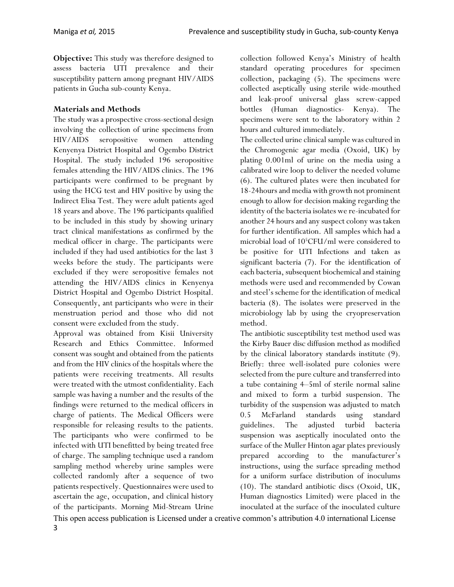**Objective:** This study was therefore designed to assess bacteria UTI prevalence and their susceptibility pattern among pregnant HIV/AIDS patients in Gucha sub-county Kenya.

### **Materials and Methods**

The study was a prospective cross-sectional design involving the collection of urine specimens from HIV/AIDS seropositive women attending Kenyenya District Hospital and Ogembo District Hospital. The study included 196 seropositive females attending the HIV/AIDS clinics. The 196 participants were confirmed to be pregnant by using the HCG test and HIV positive by using the Indirect Elisa Test. They were adult patients aged 18 years and above. The 196 participants qualified to be included in this study by showing urinary tract clinical manifestations as confirmed by the medical officer in charge. The participants were included if they had used antibiotics for the last 3 weeks before the study. The participants were excluded if they were seropositive females not attending the HIV/AIDS clinics in Kenyenya District Hospital and Ogembo District Hospital. Consequently, ant participants who were in their menstruation period and those who did not consent were excluded from the study.

Approval was obtained from Kisii University Research and Ethics Committee. Informed consent was sought and obtained from the patients and from the HIV clinics of the hospitals where the patients were receiving treatments. All results were treated with the utmost confidentiality. Each sample was having a number and the results of the findings were returned to the medical officers in charge of patients. The Medical Officers were responsible for releasing results to the patients. The participants who were confirmed to be infected with UTI benefitted by being treated free of charge. The sampling technique used a random sampling method whereby urine samples were collected randomly after a sequence of two patients respectively. Questionnaires were used to ascertain the age, occupation, and clinical history of the participants. Morning Mid-Stream Urine collection followed Kenya's Ministry of health standard operating procedures for specimen collection, packaging (5). The specimens were collected aseptically using sterile wide-mouthed and leak-proof universal glass screw-capped bottles (Human diagnostics- Kenya). The specimens were sent to the laboratory within 2 hours and cultured immediately.

The collected urine clinical sample was cultured in the Chromogenic agar media (Oxoid, UK) by plating 0.001ml of urine on the media using a calibrated wire loop to deliver the needed volume (6). The cultured plates were then incubated for 18-24hours and media with growth not prominent enough to allow for decision making regarding the identity of the bacteria isolates we re-incubated for another 24 hours and any suspect colony was taken for further identification. All samples which had a microbial load of 10<sup>5</sup>CFU/ml were considered to be positive for UTI Infections and taken as significant bacteria (7). For the identification of each bacteria, subsequent biochemical and staining methods were used and recommended by Cowan and steel's scheme for the identification of medical bacteria (8). The isolates were preserved in the microbiology lab by using the cryopreservation method.

The antibiotic susceptibility test method used was the Kirby Bauer disc diffusion method as modified by the clinical laboratory standards institute (9). Briefly: three well-isolated pure colonies were selected from the pure culture and transferred into a tube containing 4–5ml of sterile normal saline and mixed to form a turbid suspension. The turbidity of the suspension was adjusted to match 0.5 McFarland standards using standard guidelines. The adjusted turbid bacteria suspension was aseptically inoculated onto the surface of the Muller Hinton agar plates previously prepared according to the manufacturer's instructions, using the surface spreading method for a uniform surface distribution of inoculums (10). The standard antibiotic discs (Oxoid, UK, Human diagnostics Limited) were placed in the inoculated at the surface of the inoculated culture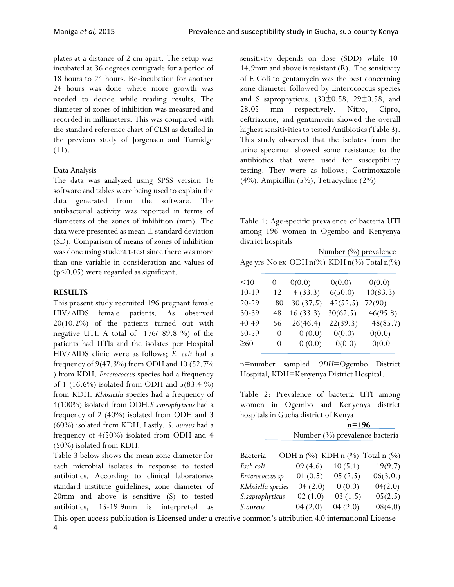plates at a distance of 2 cm apart. The setup was incubated at 36 degrees centigrade for a period of 18 hours to 24 hours. Re-incubation for another 24 hours was done where more growth was needed to decide while reading results. The diameter of zones of inhibition was measured and recorded in millimeters. This was compared with the standard reference chart of CLSI as detailed in the previous study of Jorgensen and Turnidge (11).

#### Data Analysis

The data was analyzed using SPSS version 16 software and tables were being used to explain the data generated from the software. The antibacterial activity was reported in terms of diameters of the zones of inhibition (mm). The data were presented as mean ± standard deviation (SD). Comparison of means of zones of inhibition was done using student t-test since there was more than one variable in consideration and values of (p<0.05) were regarded as significant.

#### **RESULTS**

This present study recruited 196 pregnant female HIV/AIDS female patients. As observed 20(10.2%) of the patients turned out with negative UTI. A total of 176( 89.8 %) of the patients had UTIs and the isolates per Hospital HIV/AIDS clinic were as follows; *E. coli* had a frequency of 9(47.3%) from ODH and 10 (52.7% ) from KDH. *Enterococcus* species had a frequency of 1 (16.6%) isolated from ODH and  $5(83.4\%)$ from KDH. *Klebsiella* species had a frequency of 4(100%) isolated from ODH.*S saprophyticus* had a frequency of 2 (40%) isolated from ODH and 3 (60%) isolated from KDH. Lastly, *S. aureus* had a frequency of 4(50%) isolated from ODH and 4 (50%) isolated from KDH.

Table 3 below shows the mean zone diameter for each microbial isolates in response to tested antibiotics. According to clinical laboratories standard institute guidelines, zone diameter of 20mm and above is sensitive (S) to tested antibiotics, 15-19.9mm is interpreted as sensitivity depends on dose (SDD) while 10- 14.9mm and above is resistant (R). The sensitivity of E Coli to gentamycin was the best concerning zone diameter followed by Enterococcus species and S saprophyticus.  $(30\pm0.58, 29\pm0.58,$  and 28.05 mm respectively. Nitro, Cipro, ceftriaxone, and gentamycin showed the overall highest sensitivities to tested Antibiotics (Table 3). This study observed that the isolates from the urine specimen showed some resistance to the antibiotics that were used for susceptibility testing. They were as follows; Cotrimoxazole (4%), Ampicillin (5%), Tetracycline (2%)

Table 1: Age-specific prevalence of bacteria UTI among 196 women in Ogembo and Kenyenya district hospitals

|           | Number $(\%)$ prevalence |          |          |                                            |  |  |  |  |
|-----------|--------------------------|----------|----------|--------------------------------------------|--|--|--|--|
|           |                          |          |          | Age yrs No ex ODH n(%) KDH n(%) Total n(%) |  |  |  |  |
| <10       | $\theta$                 | 0(0.0)   | 0(0.0)   | 0(0.0)                                     |  |  |  |  |
| $10 - 19$ | 12                       | 4(33.3)  | 6(50.0)  | 10(83.3)                                   |  |  |  |  |
| 20-29     | 80                       | 30(37.5) | 42(52.5) | 72(90)                                     |  |  |  |  |
| 30-39     | 48                       | 16(33.3) | 30(62.5) | 46(95.8)                                   |  |  |  |  |
| 40-49     | 56                       | 26(46.4) | 22(39.3) | 48(85.7)                                   |  |  |  |  |
| 50-59     | 0                        | 0(0.0)   | 0(0.0)   | 0(0.0)                                     |  |  |  |  |
| $\geq 60$ | $\theta$                 | 0(0.0)   | 0(0.0)   | 0(0.0)                                     |  |  |  |  |

n=number sampled *ODH*=Ogembo District Hospital, KDH=Kenyenya District Hospital.

Table 2: Prevalence of bacteria UTI among women in Ogembo and Kenyenya district hospitals in Gucha district of Kenya

| $n = 196$                      |
|--------------------------------|
| Number (%) prevalence bacteria |

| Bacteria           |         |         | ODH n $(\%)$ KDH n $(\%)$ Total n $(\%)$ |
|--------------------|---------|---------|------------------------------------------|
| Esch coli          | 09(4.6) | 10(5.1) | 19(9.7)                                  |
| Enterococcus sp    | 01(0.5) | 05(2.5) | 06(3.0.)                                 |
| Klebsiella species | 04(2.0) | 0(0.0)  | 04(2.0)                                  |
| S.saprophyticus    | 02(1.0) | 03(1.5) | 05(2.5)                                  |
| S.aureus           | 04(2.0) | 04(2.0) | 08(4.0)                                  |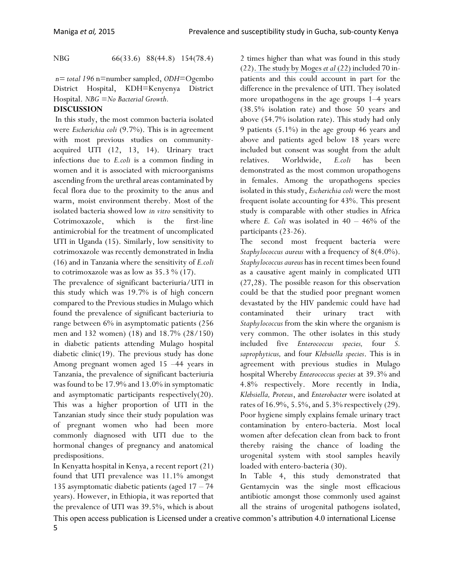NBG66(33.6)88(44.8) 154(78.4)

*n= total 196* n=number sampled, *ODH*=Ogembo District Hospital, KDH=Kenyenya District Hospital. *NBG =No Bacterial Growth.*

### **DISCUSSION**

In this study, the most common bacteria isolated were *Escherichia coli* (9.7%). This is in agreement with most previous studies on communityacquired UTI (12, 13, 14). Urinary tract infections due to *E.coli* is a common finding in women and it is associated with microorganisms ascending from the urethral areas contaminated by fecal flora due to the proximity to the anus and warm, moist environment thereby. Most of the isolated bacteria showed low *in vitro* sensitivity to Cotrimoxazole, which is the first-line antimicrobial for the treatment of uncomplicated UTI in Uganda (15). Similarly, low sensitivity to cotrimoxazole was recently demonstrated in India (16) and in Tanzania where the sensitivity of *E.coli* to cotrimoxazole was as low as  $35.3\%$  (17).

The prevalence of significant bacteriuria/UTI in this study which was 19.7% is of high concern compared to the Previous studies in Mulago which found the prevalence of significant bacteriuria to range between 6% in asymptomatic patients (256 men and 132 women) (18) and 18.7% (28/150) in diabetic patients attending Mulago hospital diabetic clinic(19). The previous study has done Among pregnant women aged 15 –44 years in Tanzania, the prevalence of significant bacteriuria was found to be 17.9% and 13.0% in symptomatic and asymptomatic participants respectively(20). This was a higher proportion of UTI in the Tanzanian study since their study population was of pregnant women who had been more commonly diagnosed with UTI due to the hormonal changes of pregnancy and anatomical predispositions.

In Kenyatta hospital in Kenya, a recent report (21) found that UTI prevalence was 11.1% amongst 135 asymptomatic diabetic patients (aged 17 – 74 years). However, in Ethiopia, it was reported that the prevalence of UTI was 39.5%, which is about 2 times higher than what was found in this study (22). The study by Moges *et al* (22) included 70 inpatients and this could account in part for the difference in the prevalence of UTI. They isolated more uropathogens in the age groups 1–4 years (38.5% isolation rate) and those 50 years and above (54.7% isolation rate). This study had only 9 patients (5.1%) in the age group 46 years and above and patients aged below 18 years were included but consent was sought from the adult relatives. Worldwide, *E.coli* has been demonstrated as the most common uropathogens in females. Among the uropathogens species isolated in this study, *Escherichia coli* were the most frequent isolate accounting for 43%. This present study is comparable with other studies in Africa where  $E$ . Coli was isolated in  $40 - 46\%$  of the participants (23-26).

The second most frequent bacteria were *Staphylococcus aureus* with a frequency of 8(4.0%). *Staphylococcus aureus* has in recent times been found as a causative agent mainly in complicated UTI (27,28). The possible reason for this observation could be that the studied poor pregnant women devastated by the HIV pandemic could have had contaminated their urinary tract with *Staphylococcus* from the skin where the organism is very common. The other isolates in this study included five *Enterococcus species,* four *S. saprophyticus,* and four *Klebsiella species*. This is in agreement with previous studies in Mulago hospital Whereby *Enterococcus species* at 39.3% and 4.8% respectively. More recently in India, *Klebsiella, Proteus*, and *Enterobacter* were isolated at rates of  $16.9\%$ ,  $5.5\%$ , and  $5.3\%$  respectively (29). Poor hygiene simply explains female urinary tract contamination by entero-bacteria. Most local women after defecation clean from back to front thereby raising the chance of loading the urogenital system with stool samples heavily loaded with entero-bacteria (30).

In Table 4, this study demonstrated that Gentamycin was the single most efficacious antibiotic amongst those commonly used against all the strains of urogenital pathogens isolated,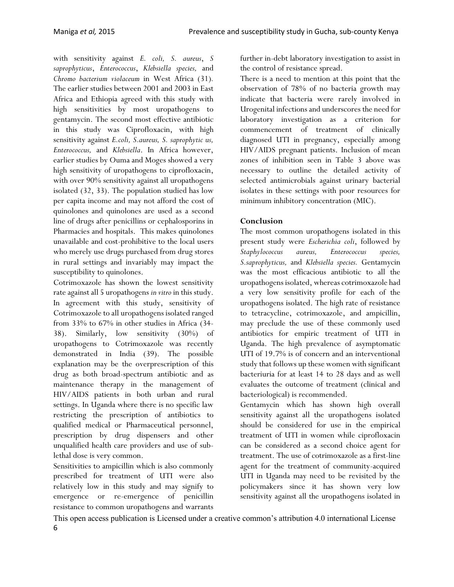with sensitivity against *E. coli, S. aureus*, *S saprophyticus*, *Enterococcus*, *Klebsiella species,* and *Chromo bacterium violaceum* in West Africa (31)*.* The earlier studies between 2001 and 2003 in East Africa and Ethiopia agreed with this study with high sensitivities by most uropathogens to gentamycin. The second most effective antibiotic in this study was Ciprofloxacin, with high sensitivity against *E.coli, S.aureus, S. saprophytic us, Enterococcus,* and *Klebsiella*. In Africa however, earlier studies by Ouma and Moges showed a very high sensitivity of uropathogens to ciprofloxacin, with over 90% sensitivity against all uropathogens isolated (32, 33). The population studied has low per capita income and may not afford the cost of quinolones and quinolones are used as a second line of drugs after penicillins or cephalosporins in Pharmacies and hospitals. This makes quinolones unavailable and cost-prohibitive to the local users who merely use drugs purchased from drug stores in rural settings and invariably may impact the susceptibility to quinolones.

Cotrimoxazole has shown the lowest sensitivity rate against all 5 uropathogens *in vitro* in this study. In agreement with this study, sensitivity of Cotrimoxazole to all uropathogens isolated ranged from 33% to 67% in other studies in Africa (34- 38). Similarly, low sensitivity (30%) of uropathogens to Cotrimoxazole was recently demonstrated in India (39). The possible explanation may be the overprescription of this drug as both broad-spectrum antibiotic and as maintenance therapy in the management of HIV/AIDS patients in both urban and rural settings. In Uganda where there is no specific law restricting the prescription of antibiotics to qualified medical or Pharmaceutical personnel, prescription by drug dispensers and other unqualified health care providers and use of sublethal dose is very common.

Sensitivities to ampicillin which is also commonly prescribed for treatment of UTI were also relatively low in this study and may signify to emergence or re-emergence of penicillin resistance to common uropathogens and warrants further in-debt laboratory investigation to assist in the control of resistance spread.

There is a need to mention at this point that the observation of 78% of no bacteria growth may indicate that bacteria were rarely involved in Urogenital infections and underscores the need for laboratory investigation as a criterion for commencement of treatment of clinically diagnosed UTI in pregnancy, especially among HIV/AIDS pregnant patients. Inclusion of mean zones of inhibition seen in Table 3 above was necessary to outline the detailed activity of selected antimicrobials against urinary bacterial isolates in these settings with poor resources for minimum inhibitory concentration (MIC).

## **Conclusion**

The most common uropathogens isolated in this present study were *Escherichia coli*, followed by *Staphylococcus aureus, Enterococcus species, S.saprophyticus,* and *Klebsiella species.* Gentamycin was the most efficacious antibiotic to all the uropathogens isolated, whereas cotrimoxazole had a very low sensitivity profile for each of the uropathogens isolated. The high rate of resistance to tetracycline, cotrimoxazole, and ampicillin, may preclude the use of these commonly used antibiotics for empiric treatment of UTI in Uganda. The high prevalence of asymptomatic UTI of 19.7% is of concern and an interventional study that follows up these women with significant bacteriuria for at least 14 to 28 days and as well evaluates the outcome of treatment (clinical and bacteriological) is recommended.

Gentamycin which has shown high overall sensitivity against all the uropathogens isolated should be considered for use in the empirical treatment of UTI in women while ciprofloxacin can be considered as a second choice agent for treatment. The use of cotrimoxazole as a first-line agent for the treatment of community-acquired UTI in Uganda may need to be revisited by the policymakers since it has shown very low sensitivity against all the uropathogens isolated in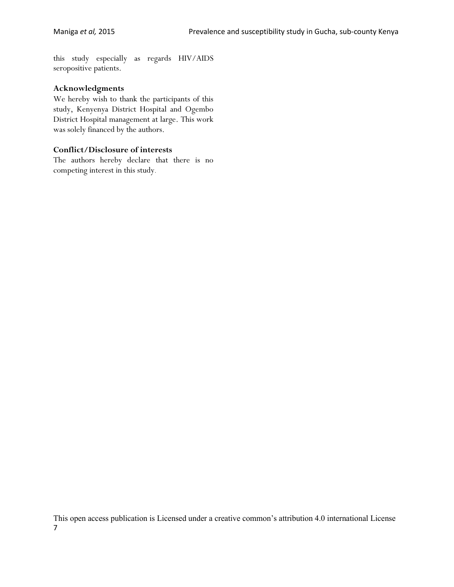this study especially as regards HIV/AIDS seropositive patients.

#### **Acknowledgments**

We hereby wish to thank the participants of this study, Kenyenya District Hospital and Ogembo District Hospital management at large. This work was solely financed by the authors.

#### **Conflict/Disclosure of interests**

The authors hereby declare that there is no competing interest in this study.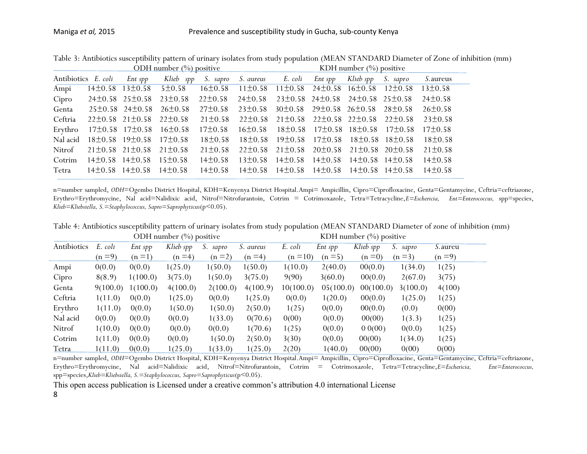| ODH number (%) positive |  |                                     |                                                                                                            |               |                                                                         | KDH number $(\%)$ positive                                  |                                     |                    |                                                 |                  |
|-------------------------|--|-------------------------------------|------------------------------------------------------------------------------------------------------------|---------------|-------------------------------------------------------------------------|-------------------------------------------------------------|-------------------------------------|--------------------|-------------------------------------------------|------------------|
| Antibiotics E. coli     |  | Ent spp                             |                                                                                                            |               | Klieb spp S. sapro S. aureus E. coli Ent spp                            |                                                             |                                     | Klieb spp S. sapro |                                                 | <i>S.</i> aureus |
| Ampi                    |  |                                     | $14\pm0.58$ $13\pm0.58$ $5\pm0.58$ $16\pm0.58$ $11\pm0.58$ $11\pm0.58$ $24\pm0.58$ $16\pm0.58$ $12\pm0.58$ |               |                                                                         |                                                             |                                     |                    |                                                 | 13±0.58          |
| Cipro                   |  |                                     | $24\pm0.58$ 25 $\pm0.58$ 23 $\pm0.58$                                                                      | $22\pm0.58$   | $24\pm0.58$ $23\pm0.58$ $24\pm0.58$ $24\pm0.58$ $25\pm0.58$             |                                                             |                                     |                    |                                                 | $24\pm0.58$      |
| Genta                   |  | $25\pm0.58$ 24 $\pm0.58$            | $26 \pm 0.58$                                                                                              |               | $27\pm0.58$ $23\pm0.58$ $30\pm0.58$ $29\pm0.58$ $26\pm0.58$ $28\pm0.58$ |                                                             |                                     |                    |                                                 | $26 \pm 0.58$    |
| Ceftria                 |  |                                     | $22\pm0.58$ $21\pm0.58$ $22\pm0.58$                                                                        | $21 \pm 0.58$ |                                                                         | $22\pm0.58$ $21\pm0.58$ $22\pm0.58$ $22\pm0.58$ $22\pm0.58$ |                                     |                    |                                                 | $23\pm0.58$      |
| Erythro                 |  |                                     | $17\pm0.58$ $17\pm0.58$ $16\pm0.58$                                                                        | $17\pm0.58$   | $16+0.58$                                                               |                                                             |                                     |                    | $18\pm0.58$ $17\pm0.58$ $18\pm0.58$ $17\pm0.58$ | $17\pm0.58$      |
| Nal acid                |  |                                     | $18\pm0.58$ 19 $\pm0.58$ 17 $\pm0.58$                                                                      | $18\pm0.58$   | $18\pm0.58$ $19\pm0.58$ $17\pm0.58$ $18\pm0.58$ $18\pm0.58$             |                                                             |                                     |                    |                                                 | $18\pm0.58$      |
| Nitrof                  |  | $21\pm0.58$ $21\pm0.58$ $21\pm0.58$ |                                                                                                            | $21 \pm 0.58$ |                                                                         | $22\pm0.58$ $21\pm0.58$                                     |                                     |                    | $20\pm0.58$ 21 $\pm0.58$ 20 $\pm0.58$           | $21 \pm 0.58$    |
| Cotrim                  |  | $14\pm0.58$ $14\pm0.58$             | $15\pm0.58$                                                                                                | $14\pm0.58$   | $13\pm0.58$ $14\pm0.58$                                                 |                                                             | $14\pm0.58$ $14\pm0.58$ $14\pm0.58$ |                    |                                                 | $14\pm0.58$      |
| Tetra                   |  |                                     | $14\pm0.58$ $14\pm0.58$ $14\pm0.58$ $14\pm0.58$                                                            |               |                                                                         | $14\pm0.58$ $14\pm0.58$                                     | $14\pm0.58$ $14\pm0.58$ $14\pm0.58$ |                    |                                                 | $14\pm0.58$      |

Table 3: Antibiotics susceptibility pattern of urinary isolates from study population (MEAN STANDARD Diameter of Zone of inhibition (mm)

n=number sampled, *ODH*=Ogembo District Hospital, KDH=Kenyenya District Hospital.Ampi= Ampicillin, Cipro=Ciprofloxacine, Genta=Gentamycine, Ceftria=ceftriazone, Erythro=Erythromycine, Nal acid=Nalidixic acid, Nitrof=Nitrofurantoin, Cotrim = Cotrimoxazole, Tetra=Tetracycline,*E=Eschericia, Ent=Enterococcus,* spp=species, *Klieb=Kliebsiella, S.=Staphylococcus, Sapro=Saprophyticus*(p<0.05).

|                                                               | Table 4: Antibiotics susceptibility pattern of urinary isolates from study population (MEAN STANDARD Diameter of zone of inhibition (mm) |  |
|---------------------------------------------------------------|------------------------------------------------------------------------------------------------------------------------------------------|--|
| $\triangle DII$ $\downarrow$ $\therefore$ $\langle 0/\rangle$ | $V\mathbf{D}$ U $\ldots$ $\ldots$ $\ldots$ $(0/\lambda)$ $\ldots$ $(1/\lambda)$                                                          |  |

| ODH number $(\%)$ positive |          |          |           | KDH number $(\%)$ positive |           |            |           |           |          |                 |
|----------------------------|----------|----------|-----------|----------------------------|-----------|------------|-----------|-----------|----------|-----------------|
| Antibiotics                | E. coli  | Ent spp  | Klieb spp | S. sapro                   | S. aureus | E. coli    | Ent spp   | Klieb spp | S. sapro | <i>S.</i> aureu |
|                            | $(n=9)$  | $(n=1)$  | $(n=4)$   | $(n=2)$                    | $(n=4)$   | $(n = 10)$ | $(n=5)$   | $(n=0)$   | $(n=3)$  | $(n=9)$         |
| Ampi                       | 0(0.0)   | 0(0.0)   | 1(25.0)   | 1(50.0)                    | 1(50.0)   | 1(10.0)    | 2(40.0)   | 00(0.0)   | 1(34.0)  | 1(25)           |
| Cipro                      | 8(8.9)   | 1(100.0) | 3(75.0)   | 1(50.0)                    | 3(75.0)   | 9(90)      | 3(60.0)   | 00(0.0)   | 2(67.0)  | 3(75)           |
| Genta                      | 9(100.0) | 1(100.0) | 4(100.0)  | 2(100.0)                   | 4(100.9)  | 10(100.0)  | 05(100.0) | 00(100.0) | 3(100.0) | 4(100)          |
| Ceftria                    | 1(11.0)  | 0(0.0)   | 1(25.0)   | 0(0.0)                     | 1(25.0)   | 0(0.0)     | 1(20.0)   | 00(0.0)   | 1(25.0)  | 1(25)           |
| Erythro                    | 1(11.0)  | 0(0.0)   | 1(50.0)   | 1(50.0)                    | 2(50.0)   | 1(25)      | 0(0.0)    | 00(0.0)   | (0.0)    | 0(00)           |
| Nal acid                   | 0(0.0)   | 0(0.0)   | 0(0.0)    | 1(33.0)                    | 0(70.6)   | 0(00)      | 0(0.0)    | 00(00)    | 1(3.3)   | 1(25)           |
| Nitrof                     | 1(10.0)  | 0(0.0)   | 0(0.0)    | 0(0.0)                     | 1(70.6)   | 1(25)      | 0(0.0)    | 0.0(00)   | 0(0.0)   | 1(25)           |
| Cotrim                     | 1(11.0)  | 0(0.0)   | 0(0.0)    | 1(50.0)                    | 2(50.0)   | 3(30)      | 0(0.0)    | 00(00)    | 1(34.0)  | 1(25)           |
| <u>Tetra</u>               | 1(11.0)  | 0(0.0)   | 1(25.0)   | 1(33.0)                    | 1(25.0)   | 2(20)      | 1(40.0)   | 00(00)    | 0(00)    | 0(00)           |

n=number sampled, *ODH*=Ogembo District Hospital, KDH=Kenyenya District Hospital.Ampi= Ampicillin, Cipro=Ciprofloxacine, Genta=Gentamycine, Ceftria=ceftriazone, Erythro=Erythromycine, Nal acid=Nalidixic acid, Nitrof=Nitrofurantoin, Cotrim = Cotrimoxazole, Tetra=Tetracycline,*E=Eschericia, Ent=Enterococcus,*  spp=species,*Klieb=Kliebsiella, S.=Staphylococcus, Sapro=Saprophyticus*(p<0.05).

This open access publication is Licensed under a creative common's attribution 4.0 international License

8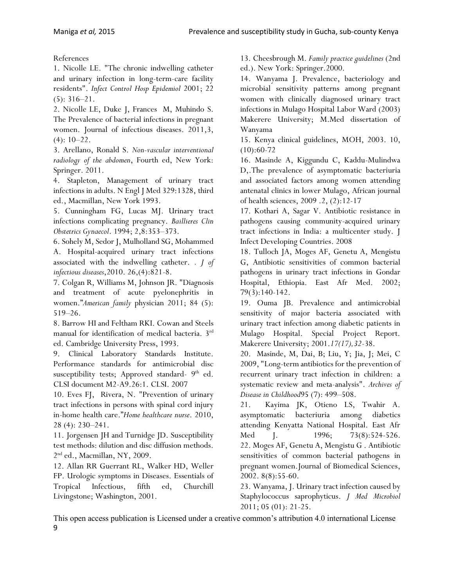References

1. Nicolle LE. "The chronic indwelling catheter and urinary infection in long-term-care facility residents". *Infect Control Hosp Epidemiol* 2001; 22 (5): 316–21.

2. Nicolle LE, Duke J, Frances M, Muhindo S. The Prevalence of bacterial infections in pregnant women. Journal of infectious diseases. 2011,3,  $(4): 10-22.$ 

3. Arellano, Ronald S. *Non-vascular interventional radiology of the abdomen*, Fourth ed, New York: Springer. 2011.

4. Stapleton, Management of urinary tract infections in adults. N Engl J Med 329:1328, third ed., Macmillan, New York 1993.

5. Cunningham FG, Lucas MJ. Urinary tract infections complicating pregnancy. *Baillieres Clin Obstetrics Gynaecol*. 1994; 2,8:353–373.

6. Sohely M, Sedor J, Mulholland SG, Mohammed A. Hospital-acquired urinary tract infections associated with the indwelling catheter. *. J of infectious diseases*,2010. 26,(4):821-8.

7. Colgan R, Williams M, Johnson JR. "Diagnosis and treatment of acute pyelonephritis in women."*American family* physician 2011; 84 (5): 519–26.

8. Barrow HI and Feltham RKI. Cowan and Steels manual for identification of medical bacteria. 3rd ed. Cambridge University Press, 1993.

9. Clinical Laboratory Standards Institute. Performance standards for antimicrobial disc susceptibility tests; Approved standard- 9<sup>th</sup> ed. CLSI document M2-A9.26:1. CLSI. 2007

10. Eves FJ, Rivera, N. "Prevention of urinary tract infections in persons with spinal cord injury in-home health care."*Home healthcare nurse*. 2010, 28 (4): 230–241.

11. Jorgensen JH and Turnidge JD. Susceptibility test methods: dilution and disc diffusion methods. 2 nd ed., Macmillan, NY, 2009.

12. Allan RR Guerrant RL, Walker HD, Weller FP. Urologic symptoms in Diseases. Essentials of Tropical Infectious, fifth ed, Churchill Livingstone; Washington, 2001.

13. Cheesbrough M. *[Family practice guidelines](http://books.google.ca/books?id=4uKsZZ4BoRUC&pg=PA271)* (2nd ed.). New York: Springer.2000.

14. Wanyama J. Prevalence, bacteriology and microbial sensitivity patterns among pregnant women with clinically diagnosed urinary tract infections in Mulago Hospital Labor Ward (2003) Makerere University; M.Med dissertation of Wanyama

15. Kenya clinical guidelines, MOH, 2003. 10,  $(10):60-72$ 

16. Masinde A, Kiggundu C, Kaddu-Mulindwa D,.The prevalence of asymptomatic bacteriuria and associated factors among women attending antenatal clinics in lower Mulago, African journal of health sciences, 2009 .2, (2):12-17

17. Kothari A, Sagar V. Antibiotic resistance in pathogens causing community-acquired urinary tract infections in India: a multicenter study. J Infect Developing Countries. 2008

18. Tulloch JA, Moges AF, Genetu A, Mengistu G, Antibiotic sensitivities of common bacterial pathogens in urinary tract infections in Gondar Hospital, Ethiopia. East Afr Med. 2002; 79(3):140-142.

19. Ouma JB. Prevalence and antimicrobial sensitivity of major bacteria associated with urinary tract infection among diabetic patients in Mulago Hospital. Special Project Report. Makerere University; 2001.*17(17),32*-38.

20. Masinde, M, Dai, B; Liu, Y; Jia, J; Mei, C 2009, "Long-term antibiotics for the prevention of recurrent urinary tract infection in children: a systematic review and meta-analysis". *Archives of Disease in Childhood*95 (7): 499–508.

21. Kayima JK, Otieno LS, Twahir A. asymptomatic bacteriuria among diabetics attending Kenyatta National Hospital. East Afr Med J. 1996; 73(8):524-526. 22. Moges AF, Genetu A, Mengistu G . Antibiotic sensitivities of common bacterial pathogens in pregnant women.Journal of Biomedical Sciences, 2002. 8(8):55-60.

23. Wanyama, J. Urinary tract infection caused by Staphylococcus saprophyticus. *J Med Microbiol*  2011; 05 (01): 21-25.